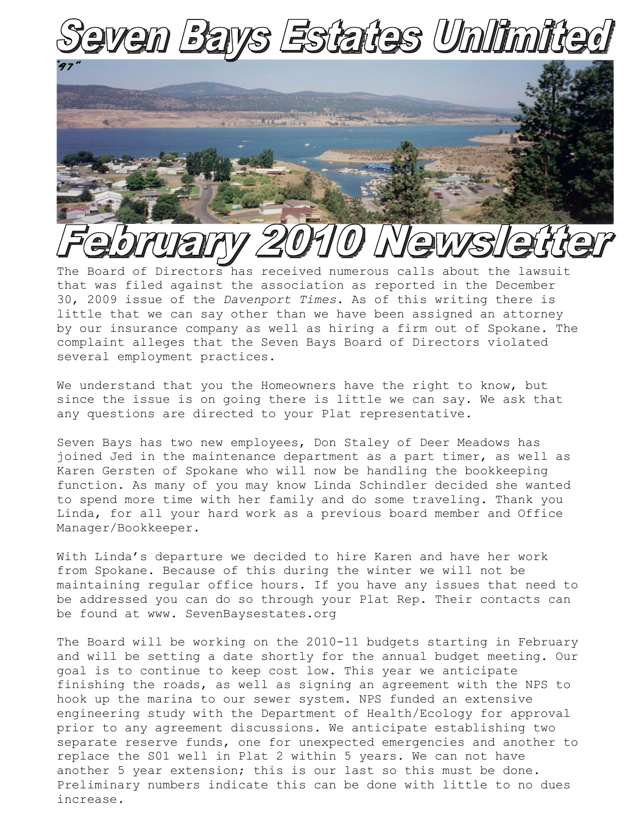

## The Board of Directors has received numerous calls about the lawsuit

that was filed against the association as reported in the December 30, 2009 issue of the *Davenport Times*. As of this writing there is little that we can say other than we have been assigned an attorney by our insurance company as well as hiring a firm out of Spokane. The complaint alleges that the Seven Bays Board of Directors violated several employment practices.

We understand that you the Homeowners have the right to know, but since the issue is on going there is little we can say. We ask that any questions are directed to your Plat representative.

Seven Bays has two new employees, Don Staley of Deer Meadows has joined Jed in the maintenance department as a part timer, as well as Karen Gersten of Spokane who will now be handling the bookkeeping function. As many of you may know Linda Schindler decided she wanted to spend more time with her family and do some traveling. Thank you Linda, for all your hard work as a previous board member and Office Manager/Bookkeeper.

With Linda's departure we decided to hire Karen and have her work from Spokane. Because of this during the winter we will not be maintaining regular office hours. If you have any issues that need to be addressed you can do so through your Plat Rep. Their contacts can be found at www. SevenBaysestates.org

The Board will be working on the 2010-11 budgets starting in February and will be setting a date shortly for the annual budget meeting. Our goal is to continue to keep cost low. This year we anticipate finishing the roads, as well as signing an agreement with the NPS to hook up the marina to our sewer system. NPS funded an extensive engineering study with the Department of Health/Ecology for approval prior to any agreement discussions. We anticipate establishing two separate reserve funds, one for unexpected emergencies and another to replace the S01 well in Plat 2 within 5 years. We can not have another 5 year extension; this is our last so this must be done. Preliminary numbers indicate this can be done with little to no dues increase.